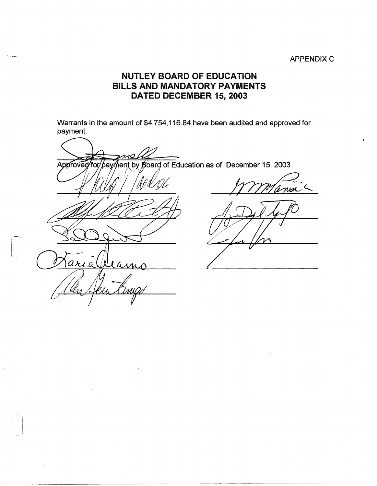## **APPENDIX C**

## **NlJTLEY BOARD OF EDUCATION BILLS AND MANDATORY PAYMENTS DATED DECEMBER 15, 2003**

Warrants in the amount of \$4,754,116.84 have been audited and approved for payment.

hent by Board of Education as of December 15, 2003 Approved for bavń [AAD] Deam aria

-,

 $\cdot$ ,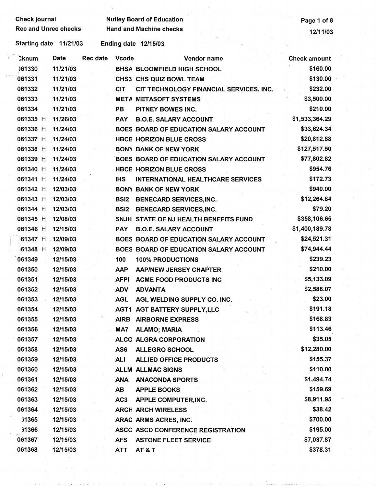Check journal **Nutley Board of Education Page 1 of 8** Page 1 of 8 Rec and Unrec checks Hand and Machine checks 12/11/03 Starting date 11/21/03 Ending date 12/15/03 ./ ·:knum Date Rec date Vcode Vendor name Check amount )61330 11/21/03 **BHSA** BLOOMFIELD HIGH SCHOOL \$160.00 <sup>I</sup> 061331 11/21/03 CHS3 CHS QUIZ BOWL TEAM \$130.00 061332 11/21/03 CIT CIT TECHNOLOGY FINANCIAL SERVICES, INC. \$232.00 061333 11/21/03 META METASOFT SYSTEMS \$3,500.00 061334 11/21/03 **PB** PITNEY BOWES INC. \$210.00 061335 H 11/26/03 **PAY** B.O.E. SALARY ACCOUNT \$1,533,364.29 061336 H 11/24/03 BOES BOARD OF EDUCATION SALARY ACCOUNT \$33,624.34 061337 H 11/24/03 **HBCB HORIZON BLUE CROSS** \$20,812.88 061338 H 11/24/03 BONY BANK OF NEW YORK \$127,517.50 061339 H 11/24/03 BOES BOARD OF EDUCATION SALARY ACCOUNT \$77,802.82 061340 H 11/24/03 **HBCB HORIZON BLUE CROSS** \$954.76 061341 H 11/24/03 IHS INTERNATIONAL HEALTHCARE SERVICES \$172.73 061342 H 12/03/03 BONY BANK OF NEW YORK \$940.00 061343 H 12/03/03 BSI2 BENECARD SERVICES,INC. \$12,264.84 061344 H · 12/03/03 **BSl2** BENECARD SERVICES,INC. \$79.20 061345 H 12/08/03 SNJH STATE OF NJ HEALTH BENEFITS FUND \$358,106.65 061346 H 12/15/03 **PAY** B.O.E. **SALARY** ACCOUNT \$1,400,189.78 t61347 H .12/09/03 BOES BOARD OF EDUCATION SALARY ACCOUNT \$24,521.31 /61348 H 12/09/03 BOES BOARD OF EDUCATION SALARY ACCOUNT \$74,944.44 061349 12/15/03 100 100% PRODUCTIONS \$239.23 061350 12/15/03 **AAP** AAP/NEW JERSEY CHAPTER \$210.00 061351 12/15/03 AFPI ACME FOOD PRODUCTS INC \$5,133.09 061352 12/15/03 ADV **ADVANTA** \$2,588.07 061353 12/15/03 AGL AGL WELDING SUPPLY CO. INC. \$23.00 061354 12/15/03 AGT1 AGT BATTERY SUPPL Y,LLC \$191.18 061355 12/15/03 **AIRB** AIRBORNE EXPRESS \$168.83 061356 12/15/03 MA7 ALAMO; **MARIA** \$113.46 061357 12/15/03 ALCO ALGRA CORPORATION \$35.05 061358 12/15/03 AS6 ALLEGRO SCHOOL \$12,280.00 061359 12/15/03 ALI ALLIED OFFICE PRODUCTS \$155.3.7 061360 12/15/03 ALLM ALLMAC SIGNS \$110.00 061361 12/15/03 **ANA** ANACONDA SPORTS \$1,494.74 061362 12/15/03 **AB** APPLE BOOKS \$159.69 061363 12/15/03 AC3 APPLE COMPUTER,INC. \$8,911.95 061364 12/15/03 ARCH ARCH WIRELESS \$38.42 31365 12/15/03 ARAC ARMS ACRES, INC. \$700.00 ?1366 12/15/03 . ASCC ASCD CONFERENCE REGISTRATION \$195.00 061367 12/15/03 AFS ASTONE FLEET SERVICE \$7,037.87 061368 12/15/03 ATT AT & T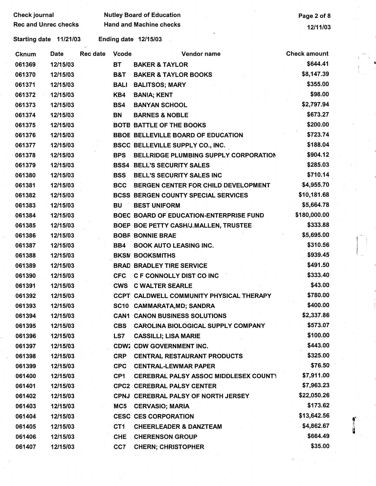Check journal **Check is a set of Check in the UL** Check journal Page 2 of 8

Rec and Unrec checks Hand and Machine checks 12/11/03

Starting date 11/21/03 Ending date 12/15/03

| <b>Cknum</b> | Date     | Rec date | <b>Vcode</b>    | Vendor name                                  | <b>Check amount</b> | $\mathcal{L} \subset \mathbb{R}^n$ |
|--------------|----------|----------|-----------------|----------------------------------------------|---------------------|------------------------------------|
| 061369       | 12/15/03 |          | <b>BT</b>       | <b>BAKER &amp; TAYLOR</b>                    | \$644.41            |                                    |
| 061370       | 12/15/03 |          | B&T             | <b>BAKER &amp; TAYLOR BOOKS</b>              | \$8,147.39          |                                    |
| 061371       | 12/15/03 |          | <b>BALI</b>     | <b>BALITSOS; MARY</b>                        | \$355.00            |                                    |
| 061372       | 12/15/03 |          | KB4             | <b>BANIA; KENT</b>                           | \$98.00             |                                    |
| 061373       | 12/15/03 |          | BS4             | <b>BANYAN SCHOOL</b>                         | \$2,797.94          |                                    |
| 061374       | 12/15/03 |          | <b>BN</b>       | <b>BARNES &amp; NOBLE</b>                    | \$673.27            |                                    |
| 061375       | 12/15/03 |          |                 | <b>BOTE BATTLE OF THE BOOKS</b>              | \$200.00            |                                    |
| 061376       | 12/15/03 |          |                 | <b>BBOE BELLEVILLE BOARD OF EDUCATION</b>    | \$723.74            |                                    |
| 061377       | 12/15/03 |          |                 | <b>BSCC BELLEVILLE SUPPLY CO., INC.</b>      | \$188.04            |                                    |
| 061378       | 12/15/03 |          | <b>BPS</b>      | BELLRIDGE PLUMBING SUPPLY CORPORATION        | \$904.12            |                                    |
| 061379       | 12/15/03 |          |                 | <b>BSS4 BELL'S SECURITY SALES</b>            | \$285.03            |                                    |
| 061380       | 12/15/03 |          | <b>BSS</b>      | BELL'S SECURITY SALES INC                    | \$710.14            |                                    |
| 061381       | 12/15/03 |          | <b>BCC</b>      | BERGEN CENTER FOR CHILD DEVELOPMENT          | \$4,955.70          |                                    |
| 061382       | 12/15/03 |          |                 | <b>BCSS BERGEN COUNTY SPECIAL SERVICES</b>   | \$10,181.68         |                                    |
| 061383       | 12/15/03 |          | <b>BU</b>       | <b>BEST UNIFORM</b>                          | \$5,664.78          |                                    |
| 061384       | 12/15/03 |          |                 | BOEC BOARD OF EDUCATION-ENTERPRISE FUND      | \$180,000.00        |                                    |
| 061385       | 12/15/03 |          |                 | BOEP BOE PETTY CASH/J.MALLEN, TRUSTEE        | \$333.88            |                                    |
| 061386       | 12/15/03 |          |                 | <b>BOBF BONNIE BRAE</b>                      | \$5,695.00          |                                    |
| 061387       | 12/15/03 |          | BB4             | <b>BOOK AUTO LEASING INC.</b>                | \$310.56            |                                    |
| 061388       | 12/15/03 |          |                 | <b>BKSN BOOKSMITHS</b>                       | \$939.45            |                                    |
| 061389       | 12/15/03 |          |                 | <b>BRAD BRADLEY TIRE SERVICE</b>             | \$491.50            |                                    |
| 061390       | 12/15/03 |          | CFC             | <b>C F CONNOLLY DIST CO INC</b>              | \$333.40            |                                    |
| 061391       | 12/15/03 |          |                 | <b>CWS C WALTER SEARLE</b>                   | \$43.00             |                                    |
| 061392       | 12/15/03 |          |                 | CCPT CALDWELL COMMUNITY PHYSICAL THERAPY     | \$780.00            |                                    |
| 061393       | 12/15/03 |          |                 | SC10 CAMMARATA, MD; SANDRA                   | \$400.00            |                                    |
| 061394       | 12/15/03 |          |                 | <b>CAN1 CANON BUSINESS SOLUTIONS</b>         | \$2,337.86          |                                    |
| 061395       | 12/15/03 |          |                 | CBS CAROLINA BIOLOGICAL SUPPLY COMPANY       | \$573.07            |                                    |
| 061396       | 12/15/03 |          | LS7             | <b>CASSILLI; LISA MARIE</b>                  | \$100.00            |                                    |
| 061397       | 12/15/03 |          |                 | <b>CDW2 CDW GOVERNMENT INC.</b>              | \$443.00            |                                    |
| 061398       | 12/15/03 |          | <b>CRP</b>      | <b>CENTRAL RESTAURANT PRODUCTS</b>           | \$325.00            |                                    |
| 061399       | 12/15/03 |          | <b>CPC</b>      | <b>CENTRAL-LEWMAR PAPER</b>                  | \$76.50             |                                    |
| 061400       | 12/15/03 |          | CP <sub>1</sub> | <b>CEREBRAL PALSY ASSOC MIDDLESEX COUNT)</b> | \$7,911.00          |                                    |
| 061401       | 12/15/03 |          |                 | <b>CPC2 CEREBRAL PALSY CENTER</b>            | \$7,963.23          |                                    |
| 061402       | 12/15/03 |          |                 | CPNJ CEREBRAL PALSY OF NORTH JERSEY          | \$22,050.26         |                                    |
| 061403       | 12/15/03 |          | MC5             | <b>CERVASIO; MARIA</b>                       | \$173.62            |                                    |
| 061404       | 12/15/03 |          |                 | <b>CESC CES CORPORATION</b>                  | \$13,642.56         |                                    |
| 061405       | 12/15/03 |          | CT <sub>1</sub> | <b>CHEERLEADER &amp; DANZTEAM</b>            | \$4,862.67          | 1                                  |
| 061406       | 12/15/03 |          | <b>CHE</b>      | <b>CHERENSON GROUP</b>                       | \$664.49            |                                    |
| 061407       | 12/15/03 |          | CC7             | <b>CHERN; CHRISTOPHER</b>                    | \$35.00             |                                    |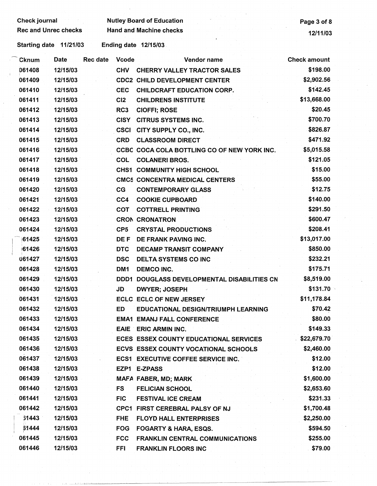## Check journal Nutley Board of Education **Check in the Check of School School** Page 3 of 8 Rec and Unrec checks Hand and Machine checks 12/11/03

Starting date 11/21/03 Ending date 12/15/03

1 l .. \_ .. J.JL.~-~~~--~~~--~----'--------------~

| Cknum  | Date     | <b>Rec date</b> | <b>Vcode</b>    | Vendor name                                 | <b>Check amount</b> |
|--------|----------|-----------------|-----------------|---------------------------------------------|---------------------|
| 061408 | 12/15/03 |                 | <b>CHV</b>      | <b>CHERRY VALLEY TRACTOR SALES</b>          | \$198.00            |
| 061409 | 12/15/03 |                 |                 | <b>CDC2 CHILD DEVELOPMENT CENTER</b>        | \$2,902.56          |
| 061410 | 12/15/03 |                 | <b>CEC</b>      | <b>CHILDCRAFT EDUCATION CORP.</b>           | \$142.45            |
| 061411 | 12/15/03 |                 | CI2             | <b>CHILDRENS INSTITUTE</b>                  | \$13,668.00         |
| 061412 | 12/15/03 |                 | RC3             | <b>CIOFFI; ROSE</b>                         | \$20.45             |
| 061413 | 12/15/03 |                 | <b>CISY</b>     | <b>CITRUS SYSTEMS INC.</b>                  | \$700.70            |
| 061414 | 12/15/03 |                 | <b>CSCI</b>     | CITY SUPPLY CO., INC.                       | \$826.87            |
| 061415 | 12/15/03 |                 | <b>CRD</b>      | <b>CLASSROOM DIRECT</b>                     | \$471.92            |
| 061416 | 12/15/03 |                 |                 | CCBC COCA COLA BOTTLING CO OF NEW YORK INC. | \$5,015.58          |
| 061417 | 12/15/03 |                 | <b>COL</b>      | <b>COLANERI BROS.</b>                       | \$121.05            |
| 061418 | 12/15/03 |                 |                 | <b>CHS1 COMMUNITY HIGH SCHOOL</b>           | \$15.00             |
| 061419 | 12/15/03 |                 |                 | <b>CMC5 CONCENTRA MEDICAL CENTERS</b>       | \$55.00             |
| 061420 | 12/15/03 |                 | CG              | <b>CONTEMPORARY GLASS</b>                   | \$12.75             |
| 061421 | 12/15/03 |                 | CC4             | <b>COOKIE CUPBOARD</b>                      | \$140.00            |
| 061422 | 12/15/03 |                 | COT             | <b>COTTRELL PRINTING</b>                    | \$291.50            |
| 061423 | 12/15/03 |                 |                 | <b>CRON CRONATRON</b>                       | \$600.47            |
| 061424 | 12/15/03 |                 | CP <sub>5</sub> | <b>CRYSTAL PRODUCTIONS</b>                  | \$208.41            |
| 61425  | 12/15/03 |                 | DE F            | DE FRANK PAVING INC.                        | \$13,017.00         |
| 61426  | 12/15/03 |                 | <b>DTC</b>      | <b>DECAMP TRANSIT COMPANY</b>               | \$850.00            |
| 061427 | 12/15/03 |                 | <b>DSC</b>      | DELTA SYSTEMS CO INC                        | \$232.21            |
| 061428 | 12/15/03 |                 | DM <sub>1</sub> | <b>DEMCO INC.</b>                           | \$175.71            |
| 061429 | 12/15/03 |                 | DDD1            | DOUGLASS DEVELOPMENTAL DISABILITIES CN      | \$8,519.00          |
| 061430 | 12/15/03 |                 | JD              | <b>DWYER, JOSEPH</b>                        | \$131.70            |
| 061431 | 12/15/03 |                 |                 | <b>ECLC ECLC OF NEW JERSEY</b>              | \$11,178.84         |
| 061432 | 12/15/03 |                 | ED              | <b>EDUCATIONAL DESIGN/TRIUMPH LEARNING</b>  | \$70.42             |
| 061433 | 12/15/03 |                 |                 | <b>EMA1 EMANJ FALL CONFERENCE</b>           | \$80.00             |
| 061434 | 12/15/03 |                 |                 | EAIE ERIC ARMIN INC.                        | \$149.33            |
| 061435 | 12/15/03 |                 |                 | ECES ESSEX COUNTY EDUCATIONAL SERVICES      | \$22,679.70         |
| 061436 | 12/15/03 |                 |                 | ECVS ESSEX COUNTY VOCATIONAL SCHOOLS        | \$2,460.00          |
| 061437 | 12/15/03 |                 |                 | <b>ECS1 EXECUTIVE COFFEE SERVICE INC.</b>   | \$12.00             |
| 061438 | 12/15/03 |                 |                 | EZP1 E-ZPASS                                | \$12.00             |
| 061439 | 12/15/03 |                 |                 | MAFA FABER, MD; MARK                        | \$1,600.00          |
| 061440 | 12/15/03 |                 | <b>FS</b>       | <b>FELICIAN SCHOOL</b>                      | \$2,653.60          |
| 061441 | 12/15/03 |                 | FIC.            | <b>FESTIVAL ICE CREAM</b>                   | \$231.33            |
| 061442 | 12/15/03 |                 |                 | CPC1 FIRST CEREBRAL PALSY OF NJ             | \$1,700.48          |
| 61443  | 12/15/03 |                 | <b>FHE</b>      | <b>FLOYD HALL ENTERPRISES</b>               | \$2,250.00          |
| 61444  | 12/15/03 |                 | <b>FOG</b>      | <b>FOGARTY &amp; HARA, ESQS.</b>            | \$594.50            |
| 061445 | 12/15/03 |                 | <b>FCC</b>      | <b>FRANKLIN CENTRAL COMMUNICATIONS</b>      | \$255.00            |
| 061446 | 12/15/03 |                 | <b>FFI</b>      | <b>FRANKLIN FLOORS INC</b>                  | \$79.00             |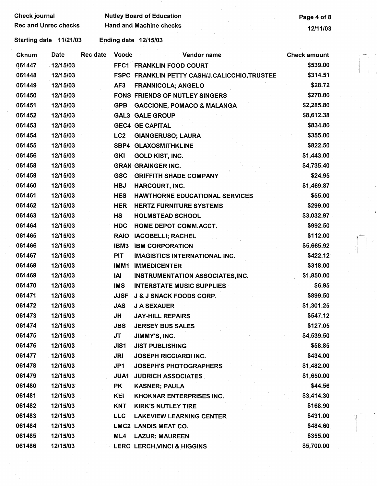| <b>Check journal</b> |  |
|----------------------|--|
|                      |  |

Nutley Board of Education **Page 4 of 8** Rec and Unrec checks Hand and Machine checks 12/11/03

Starting date 11/21/03 Ending date 12/15/03

| <b>Cknum</b> | Date     | Rec date | <b>Vcode</b>    | Vendor name                                   | <b>Check amount</b> |  |
|--------------|----------|----------|-----------------|-----------------------------------------------|---------------------|--|
| 061447       | 12/15/03 |          |                 | FFC1 FRANKLIN FOOD COURT                      | \$539.00            |  |
| 061448       | 12/15/03 |          |                 | FSPC FRANKLIN PETTY CASH/J.CALICCHIO, TRUSTEE | \$314.51            |  |
| 061449       | 12/15/03 |          | AF3             | <b>FRANNICOLA; ANGELO</b>                     | \$28.72             |  |
| 061450       | 12/15/03 |          |                 | FONS FRIENDS OF NUTLEY SINGERS                | \$270.00            |  |
| 061451       | 12/15/03 |          | GPB             | <b>GACCIONE, POMACO &amp; MALANGA</b>         | \$2,285.80          |  |
| 061452       | 12/15/03 |          |                 | <b>GAL3 GALE GROUP</b>                        | \$8,612.38          |  |
| 061453       | 12/15/03 |          |                 | <b>GEC4 GE CAPITAL</b>                        | \$834.80            |  |
| 061454       | 12/15/03 |          | LC <sub>2</sub> | <b>GIANGERUSO; LAURA</b>                      | \$355.00            |  |
| 061455       | 12/15/03 |          |                 | <b>SBP4 GLAXOSMITHKLINE</b>                   | \$822.50            |  |
| 061456       | 12/15/03 |          | <b>GKI</b>      | <b>GOLD KIST, INC.</b>                        | \$1,443.00          |  |
| 061458       | 12/15/03 |          |                 | <b>GRAN GRAINGER INC.</b>                     | \$4,735.40          |  |
| 061459       | 12/15/03 |          | <b>GSC</b>      | <b>GRIFFITH SHADE COMPANY</b>                 | \$24.95             |  |
| 061460       | 12/15/03 |          | <b>HBJ</b>      | <b>HARCOURT, INC.</b>                         | \$1,469.87          |  |
| 061461       | 12/15/03 |          | <b>HES</b>      | <b>HAWTHORNE EDUCATIONAL SERVICES</b>         | \$55.00             |  |
| 061462       | 12/15/03 |          | <b>HER</b>      | <b>HERTZ FURNITURE SYSTEMS</b>                | \$299.00            |  |
| 061463       | 12/15/03 |          | <b>HS</b>       | <b>HOLMSTEAD SCHOOL</b>                       | \$3,032.97          |  |
| 061464       | 12/15/03 |          | <b>HDC</b>      | HOME DEPOT COMM.ACCT.                         | \$992.50            |  |
| 061465       | 12/15/03 |          | <b>RAIO</b>     | <b>IACOBELLI; RACHEL</b>                      | \$112.00            |  |
| 061466       | 12/15/03 |          | IBM3            | <b>IBM CORPORATION</b>                        | \$5,665.92          |  |
| 061467       | 12/15/03 |          | <b>PIT</b>      | <b>IMAGISTICS INTERNATIONAL INC.</b>          | \$422.12            |  |
| 061468       | 12/15/03 |          | IMM1            | <b>IMMEDICENTER</b>                           | \$318.00            |  |
| 061469       | 12/15/03 |          | IAI             | INSTRUMENTATION ASSOCIATES, INC.              | \$1,850.00          |  |
| 061470       | 12/15/03 |          | <b>IMS</b>      | <b>INTERSTATE MUSIC SUPPLIES</b>              | \$6.95              |  |
| 061471       | 12/15/03 |          | <b>JJSF</b>     | J & J SNACK FOODS CORP.                       | \$899.50            |  |
| 061472       | 12/15/03 |          | <b>JAS</b>      | <b>J A SEXAUER</b>                            | \$1,301.25          |  |
| 061473       | 12/15/03 |          | JH              | <b>JAY-HILL REPAIRS</b>                       | \$547.12            |  |
| 061474       | 12/15/03 |          | <b>JBS</b>      | <b>JERSEY BUS SALES</b>                       | \$127.05            |  |
| 061475       | 12/15/03 |          | JT              | JIMMY'S, INC.                                 | \$4,539.50          |  |
| 061476       | 12/15/03 |          | JIS1            | <b>JIST PUBLISHING</b>                        | \$58.85             |  |
| 061477       | 12/15/03 |          | JRI             | <b>JOSEPH RICCIARDI INC.</b>                  | \$434.00            |  |
| 061478       | 12/15/03 |          | JP1             | <b>JOSEPH'S PHOTOGRAPHERS</b>                 | \$1,482.00          |  |
| 061479       | 12/15/03 |          | <b>JUA1</b>     | <b>JUDRICH ASSOCIATES</b>                     | \$1,650.00          |  |
| 061480       | 12/15/03 |          | PK              | <b>KASNER; PAULA</b>                          | \$44.56             |  |
| 061481       | 12/15/03 |          | <b>KEI</b>      | <b>KHOKNAR ENTERPRISES INC.</b>               | \$3,414.30          |  |
| 061482       | 12/15/03 |          | KNT             | <b>KIRK'S NUTLEY TIRE</b>                     | \$168.90            |  |
| 061483       | 12/15/03 |          | <b>LLC</b>      | <b>LAKEVIEW LEARNING CENTER</b>               | \$431.00            |  |
| 061484       | 12/15/03 |          |                 | <b>LMC2 LANDIS MEAT CO.</b>                   | \$484.60            |  |
| 061485       | 12/15/03 |          | ML4             | <b>LAZUR; MAUREEN</b>                         | \$355.00            |  |
| 061486       | 12/15/03 |          |                 | <b>LERC LERCH, VINCI &amp; HIGGINS</b>        | \$5,700.00          |  |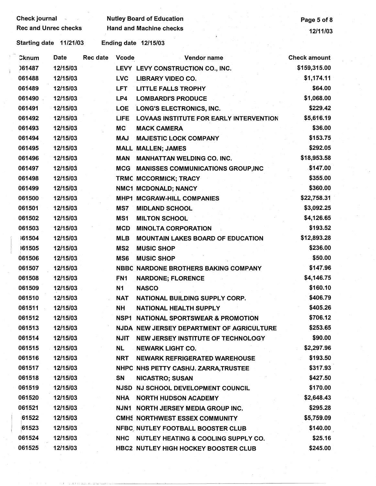| <b>Check journal</b> and the set |             |          |                 | <b>Nutley Board of Education</b>                | Page 5 of 8         |
|----------------------------------|-------------|----------|-----------------|-------------------------------------------------|---------------------|
| <b>Rec and Unrec checks</b>      |             |          |                 | <b>Hand and Machine checks</b>                  | 12/11/03            |
| Starting date 11/21/03           |             |          |                 | Ending date 12/15/03                            |                     |
| Cknum                            | <b>Date</b> | Rec date | <b>Vcode</b>    | Vendor name                                     | <b>Check amount</b> |
| 061487                           | 12/15/03    |          |                 | LEVY LEVY CONSTRUCTION CO., INC.                | \$159,315.00        |
| 061488                           | 12/15/03    |          | <b>LVC</b>      | <b>LIBRARY VIDEO CO.</b>                        | \$1,174.11          |
| 061489                           | 12/15/03    |          | <b>LFT</b>      | <b>LITTLE FALLS TROPHY</b>                      | \$64.00             |
| 061490                           | 12/15/03    |          | LP4             | <b>LOMBARDI'S PRODUCE</b>                       | \$1,068.00          |
| 061491                           | 12/15/03    |          | <b>LOE</b>      | LONG'S ELECTRONICS, INC.                        | \$229.42            |
| 061492                           | 12/15/03    |          | <b>LIFE</b>     | <b>LOVAAS INSTITUTE FOR EARLY INTERVENTION</b>  | \$5,616.19          |
| 061493                           | 12/15/03    |          | <b>MC</b>       | <b>MACK CAMERA</b>                              | \$36.00             |
| 061494                           | 12/15/03    |          | <b>MAJ</b>      | <b>MAJESTIC LOCK COMPANY</b>                    | \$153.75            |
| 061495                           | 12/15/03    |          |                 | <b>MALL MALLEN; JAMES</b>                       | \$292.05            |
| 061496                           | 12/15/03    |          | <b>MAN</b>      | <b>MANHATTAN WELDING CO. INC.</b>               | \$18,953.58         |
| 061497                           | 12/15/03    |          | <b>MCG</b>      | <b>MANISSES COMMUNICATIONS GROUP,INC</b>        | \$147.00            |
| 061498                           | 12/15/03    |          |                 | TRMC MCCORMICK; TRACY                           | \$355.00            |
| 061499                           | 12/15/03    |          |                 | NMC1 MCDONALD; NANCY                            | \$360.00            |
| 061500                           | 12/15/03    |          |                 | MHP1 MCGRAW-HILL COMPANIES                      | \$22,758.31         |
| 061501                           | 12/15/03    |          | MS7             | <b>MIDLAND SCHOOL</b>                           | \$3,092.25          |
| 061502                           | 12/15/03    |          | MS1             | <b>MILTON SCHOOL</b>                            | \$4,126.65          |
| 061503                           | 12/15/03    |          | <b>MCD</b>      | <b>MINOLTA CORPORATION</b>                      | \$193.52            |
| 161504                           | 12/15/03    |          | <b>MLB</b>      | <b>MOUNTAIN LAKES BOARD OF EDUCATION</b>        | \$12,893.28         |
| 161505                           | 12/15/03    |          | MS <sub>2</sub> | <b>MUSIC SHOP</b>                               | \$236.00            |
| 061506                           | 12/15/03    |          | MS <sub>6</sub> | <b>MUSIC SHOP</b>                               | \$50.00             |
| 061507                           | 12/15/03    |          |                 | <b>NBBC NARDONE BROTHERS BAKING COMPANY</b>     | \$147.96            |
| 061508                           | 12/15/03    |          | FN <sub>1</sub> | <b>NARDONE; FLORENCE</b>                        | \$4,146.75          |
| 061509                           | 12/15/03    |          | N1              | <b>NASCO</b>                                    | \$160.10            |
| 061510                           | 12/15/03    |          | <b>NAT</b>      | NATIONAL BUILDING SUPPLY CORP.                  | \$406.79            |
| 061511                           | 12/15/03    |          | NH              | <b>NATIONAL HEALTH SUPPLY</b>                   | \$405.26            |
| 061512                           | 12/15/03    |          |                 | <b>NSP1 NATIONAL SPORTSWEAR &amp; PROMOTION</b> | \$706.12            |
| 061513                           | 12/15/03    |          |                 | NJDA NEW JERSEY DEPARTMENT OF AGRICULTURE       | \$253.65            |
| 061514                           | 12/15/03    |          | <b>NJIT</b>     | NEW JERSEY INSTITUTE OF TECHNOLOGY              | \$90.00             |
| 061515                           | 12/15/03    |          | NL.             | <b>NEWARK LIGHT CO.</b>                         | \$2,297.96          |
| 061516                           | 12/15/03    |          | <b>NRT</b>      | <b>NEWARK REFRIGERATED WAREHOUSE</b>            | \$193.50            |
| 061517                           | 12/15/03    |          |                 | NHPC NHS PETTY CASH/J. ZARRA, TRUSTEE           | \$317.93            |
| 061518                           | 12/15/03    |          | SN              | <b>NICASTRO; SUSAN</b>                          | \$427.50            |
| 061519                           | 12/15/03    |          |                 | NJSD NJ SCHOOL DEVELOPMENT COUNCIL              | \$170.00            |
| 061520                           | 12/15/03    |          | <b>NHA</b>      | <b>NORTH HUDSON ACADEMY</b>                     | \$2,648.43          |
| 061521                           | 12/15/03    |          |                 | NJN1 NORTH JERSEY MEDIA GROUP INC.              | \$295.28            |
| 61522                            | 12/15/03    |          |                 | <b>CMHS NORTHWEST ESSEX COMMUNITY</b>           | \$5,759.09          |
| 61523                            | 12/15/03    |          |                 | NFBC NUTLEY FOOTBALL BOOSTER CLUB               | \$140.00            |
| 061524                           | 12/15/03    |          |                 | NHC NUTLEY HEATING & COOLING SUPPLY CO.         | \$25.16             |
| 061525                           | 12/15/03    |          |                 | HBC2 NUTLEY HIGH HOCKEY BOOSTER CLUB            | \$245.00            |

 $\hat{\boldsymbol{\epsilon}}$ 

 $\cdots$  . In the set of  $\cdots$  . In the set of  $\cdots$  ,  $\cdots$  ,  $\cdots$  ,  $\cdots$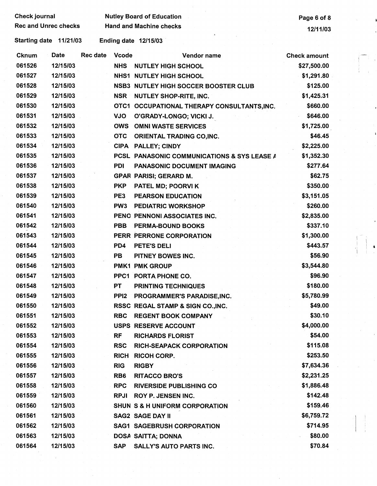| <b>Check journal</b>        |             |                 | <b>Nutley Board of Education</b> | Page 6 of 8                                            |                     |
|-----------------------------|-------------|-----------------|----------------------------------|--------------------------------------------------------|---------------------|
| <b>Rec and Unrec checks</b> |             |                 | <b>Hand and Machine checks</b>   | 12/11/03                                               |                     |
| Starting date 11/21/03      |             |                 |                                  | <b>Ending date 12/15/03</b>                            |                     |
| <b>Cknum</b>                | <b>Date</b> | <b>Rec date</b> | <b>Vcode</b>                     | Vendor name                                            | <b>Check amount</b> |
| 061526                      | 12/15/03    |                 | <b>NHS</b>                       | <b>NUTLEY HIGH SCHOOL</b>                              | \$27,500.00         |
| 061527                      | 12/15/03    |                 |                                  | <b>NHS1 NUTLEY HIGH SCHOOL</b>                         | \$1,291.80          |
| 061528                      | 12/15/03    |                 |                                  | <b>NSB3 NUTLEY HIGH SOCCER BOOSTER CLUB</b>            | \$125.00            |
| 061529                      | 12/15/03    |                 | <b>NSR</b>                       | NUTLEY SHOP-RITE, INC.                                 | \$1,425.31          |
| 061530                      | 12/15/03    |                 |                                  | OTC1 OCCUPATIONAL THERAPY CONSULTANTS, INC.            | \$660.00            |
| 061531                      | 12/15/03    |                 | <b>OLV</b>                       | O'GRADY-LONGO; VICKI J.                                | \$646.00            |
| 061532                      | 12/15/03    |                 | <b>OWS</b>                       | <b>OMNI WASTE SERVICES</b>                             | \$1,725.00          |
| 061533                      | 12/15/03    |                 | <b>OTC</b>                       | <b>ORIENTAL TRADING CO, INC.</b>                       | \$46.45             |
| 061534                      | 12/15/03    |                 |                                  | CIPA PALLEY; CINDY                                     | \$2,225.00          |
| 061535                      | 12/15/03    |                 |                                  | <b>PCSL PANASONIC COMMUNICATIONS &amp; SYS LEASE A</b> | \$1,352.30          |
| 061536                      | 12/15/03    |                 | <b>PDI</b>                       | <b>PANASONIC DOCUMENT IMAGING</b>                      | \$277.64            |
| 061537                      | 12/15/03    |                 |                                  | <b>GPAR PARISI; GERARD M.</b>                          | \$62.75             |
| 061538                      | 12/15/03    |                 | <b>PKP</b>                       | PATEL MD; POORVI K                                     | \$350.00            |
| 061539                      | 12/15/03    |                 | PE3                              | <b>PEARSON EDUCATION</b>                               | \$3,151.05          |
| 061540                      | 12/15/03    |                 | PW <sub>3</sub>                  | <b>PEDIATRIC WORKSHOP</b>                              | \$260.00            |
| 061541                      | 12/15/03    |                 |                                  | PENO PENNONI ASSOCIATES INC.                           | \$2,835.00          |
| 061542                      | 12/15/03    |                 | <b>PBB</b>                       | <b>PERMA-BOUND BOOKS</b>                               | \$337.10            |
| 061543                      | 12/15/03    |                 |                                  | PERR PERRONE CORPORATION                               | \$1,300.00          |
| 061544                      | 12/15/03    |                 | PD4                              | PETE'S DELI                                            | \$443.57            |
| 061545                      | 12/15/03    |                 | <b>PB</b>                        | PITNEY BOWES INC.                                      | \$56.90             |
| 061546                      | 12/15/03    |                 |                                  | <b>PMK1 PMK GROUP</b>                                  | \$3,544.80          |
| 061547                      | 12/15/03    |                 |                                  | PPC1 PORTA PHONE CO.                                   | \$96.90             |
| 061548                      | 12/15/03    |                 | PT                               | <b>PRINTING TECHNIQUES</b>                             | \$180.00            |
| 061549                      | 12/15/03    |                 | PPI2                             | PROGRAMMER'S PARADISE, INC.                            | \$5,780.99          |
| 061550                      | 12/15/03    |                 |                                  | RSSC REGAL STAMP & SIGN CO., INC.                      | \$49.00             |
| 061551                      | 12/15/03    |                 | <b>RBC</b>                       | <b>REGENT BOOK COMPANY</b>                             | \$30.10             |
| 061552                      | 12/15/03    |                 |                                  | USPS RESERVE ACCOUNT                                   | \$4,000.00          |
| 061553                      | 12/15/03    |                 | <b>RF</b>                        | <b>RICHARDS FLORIST</b>                                | \$54.00             |
| 061554                      | 12/15/03    |                 | <b>RSC</b>                       | <b>RICH-SEAPACK CORPORATION</b>                        | \$115.08            |
| 061555                      | 12/15/03    |                 | <b>RICH</b>                      | <b>RICOH CORP.</b>                                     | \$253.50            |
| 061556                      | 12/15/03    |                 | <b>RIG</b>                       | <b>RIGBY</b>                                           | \$7,634.36          |
| 061557                      | 12/15/03    |                 | RB <sub>6</sub>                  | <b>RITACCO BRO'S</b>                                   | \$2,231.25          |
| 061558                      | 12/15/03    |                 | <b>RPC</b>                       | <b>RIVERSIDE PUBLISHING CO</b>                         | \$1,886.48          |
| 061559                      | 12/15/03    |                 | <b>RPJI</b>                      | <b>ROY P. JENSEN INC.</b>                              | \$142.48            |
| 061560                      | 12/15/03    |                 |                                  | SHUN S & H UNIFORM CORPORATION                         | \$159.46            |
| 061561                      | 12/15/03    |                 |                                  | <b>SAG2 SAGE DAY II</b>                                | \$6,759.72          |
| 061562                      | 12/15/03    |                 |                                  | <b>SAG1 SAGEBRUSH CORPORATION</b>                      | \$714.95            |
| 061563                      | 12/15/03    |                 |                                  | DOSA SAITTA; DONNA                                     | \$80.00             |
| 061564                      | 12/15/03    |                 | <b>SAP</b>                       | <b>SALLY'S AUTO PARTS INC.</b>                         | \$70.84             |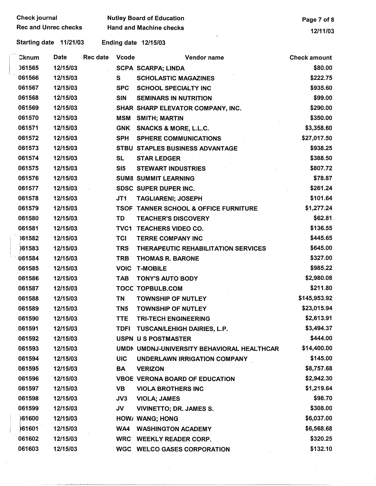| <b>Rec and Unrec checks</b><br>Starting date 11/21/03<br>Cknum |             |          |                 | <b>Hand and Machine checks</b>                   | 12/11/03            |
|----------------------------------------------------------------|-------------|----------|-----------------|--------------------------------------------------|---------------------|
|                                                                |             |          |                 |                                                  |                     |
|                                                                |             |          |                 | <b>Ending date 12/15/03</b>                      |                     |
|                                                                | <b>Date</b> | Rec date | <b>Vcode</b>    | Vendor name                                      | <b>Check amount</b> |
| 061565                                                         | 12/15/03    |          |                 | <b>SCPA SCARPA; LINDA</b>                        | \$80.00             |
| 061566                                                         | 12/15/03    |          | S               | <b>SCHOLASTIC MAGAZINES</b>                      | \$222.75            |
| 061567                                                         | 12/15/03    |          | <b>SPC</b>      | <b>SCHOOL SPECIALTY INC</b>                      | \$935.60            |
| 061568                                                         | 12/15/03    |          | <b>SIN</b>      | <b>SEMINARS IN NUTRITION</b>                     | \$99.00             |
| 061569                                                         | 12/15/03    |          |                 | SHAR SHARP ELEVATOR COMPANY, INC.                | \$290.00            |
| 061570                                                         | 12/15/03    |          | MSM             | <b>SMITH; MARTIN</b>                             | \$350.00            |
| 061571                                                         | 12/15/03    |          | <b>GNK</b>      | <b>SNACKS &amp; MORE, L.L.C.</b>                 | \$3,358.60          |
| 061572                                                         | 12/15/03    |          | <b>SPH</b>      | <b>SPHERE COMMUNICATIONS</b>                     | \$27,017.50         |
| 061573                                                         | 12/15/03    |          |                 | STBU STAPLES BUSINESS ADVANTAGE                  | \$938.25            |
| 061574                                                         | 12/15/03    |          | <b>SL</b>       | <b>STAR LEDGER</b>                               | \$388.50            |
| 061575                                                         | 12/15/03    |          | SI5             | <b>STEWART INDUSTRIES</b>                        | \$807.72            |
| 061576                                                         | 12/15/03    |          |                 | <b>SUM8 SUMMIT LEARNING</b>                      | \$78.87             |
| 061577                                                         | 12/15/03    |          |                 | SDSC SUPER DUPER INC.                            | \$261.24            |
| 061578                                                         | 12/15/03    |          | JT1             | <b>TAGLIARENI; JOSEPH</b>                        | \$101.64            |
| 061579                                                         | 12/15/03    |          |                 | <b>TSOF TANNER SCHOOL &amp; OFFICE FURNITURE</b> | \$1,277.24          |
| 061580                                                         | 12/15/03    |          | TD              | <b>TEACHER'S DISCOVERY</b>                       | \$62.81             |
| 061581                                                         | 12/15/03    |          | <b>TVC1</b>     | <b>TEACHERS VIDEO CO.</b>                        | \$136.55            |
| 161582                                                         | 12/15/03    |          | <b>TCI</b>      | <b>TERRE COMPANY INC</b>                         | \$445.65            |
| 061583                                                         | 12/15/03    |          | <b>TRS</b>      | THERAPEUTIC REHABILITATION SERVICES              | \$645.00            |
| 061584                                                         | 12/15/03    |          | <b>TRB</b>      | <b>THOMAS R. BARONE</b>                          | \$327.00            |
| 061585                                                         | 12/15/03    |          | <b>VOIC</b>     | <b>T-MOBILE</b>                                  | \$985.22            |
| 061586                                                         | 12/15/03    |          | <b>TAB</b>      | <b>TONY'S AUTO BODY</b>                          | \$2,980.08          |
| 061587                                                         | 12/15/03    |          |                 | <b>TOCC TOPBULB.COM</b>                          | \$211.80            |
| 061588                                                         | 12/15/03    |          | TN              | <b>TOWNSHIP OF NUTLEY</b>                        | \$145,953.92        |
| 061589                                                         | 12/15/03    |          | TN <sub>5</sub> | <b>TOWNSHIP OF NUTLEY</b>                        | \$23,015.94         |
| 061590                                                         | 12/15/03    |          | <b>TTE</b>      | <b>TRI-TECH ENGINEERING</b>                      | \$2,613.91          |
| 061591                                                         | 12/15/03    |          |                 | TDFI TUSCAN/LEHIGH DAIRIES, L.P.                 | \$3,494.37          |
| 061592                                                         | 12/15/03    |          |                 | <b>USPN US POSTMASTER</b>                        | \$444.00            |
| 061593                                                         | 12/15/03    |          |                 | UMDN UMDNJ-UNIVERSITY BEHAVIORAL HEALTHCAR       | \$14,400.00         |
| 061594                                                         | 12/15/03    |          | <b>UIC</b>      | UNDERLAWN IRRIGATION COMPANY                     | \$145.00            |
| 061595                                                         | 12/15/03    |          | BA              | <b>VERIZON</b>                                   | \$8,757.68          |
| 061596                                                         | 12/15/03    |          |                 | <b>VBOE VERONA BOARD OF EDUCATION</b>            | \$2,942.30          |
| 061597                                                         | 12/15/03    |          | VB              | <b>VIOLA BROTHERS INC</b>                        | \$1,219.64          |
| 061598                                                         | 12/15/03    |          | JV3             | <b>VIOLA; JAMES</b>                              | \$98.70             |
| 061599                                                         | 12/15/03    |          | JV              | <b>VIVINETTO; DR. JAMES S.</b>                   | \$308.00            |
| 061600                                                         | 12/15/03    |          |                 | HOW/ WANG; HONG                                  | \$6,037.00          |
| 061601                                                         | 12/15/03    |          | WA4             | <b>WASHINGTON ACADEMY</b>                        | \$6,568.68          |
| 061602                                                         | 12/15/03    |          |                 | WRC WEEKLY READER CORP.                          | \$320.25            |
| 061603                                                         | 12/15/03    |          |                 | <b>WGC WELCO GASES CORPORATION</b>               | \$132.10            |